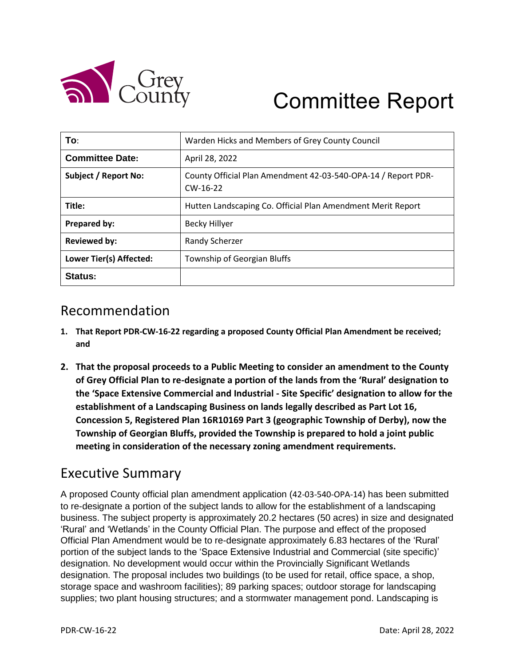

# Committee Report

| To:                     | Warden Hicks and Members of Grey County Council                             |
|-------------------------|-----------------------------------------------------------------------------|
| <b>Committee Date:</b>  | April 28, 2022                                                              |
| Subject / Report No:    | County Official Plan Amendment 42-03-540-OPA-14 / Report PDR-<br>$CW-16-22$ |
| Title:                  | Hutten Landscaping Co. Official Plan Amendment Merit Report                 |
| Prepared by:            | <b>Becky Hillyer</b>                                                        |
| <b>Reviewed by:</b>     | Randy Scherzer                                                              |
| Lower Tier(s) Affected: | Township of Georgian Bluffs                                                 |
| Status:                 |                                                                             |

#### Recommendation

- **1. That Report PDR-CW-16-22 regarding a proposed County Official Plan Amendment be received; and**
- **2. That the proposal proceeds to a Public Meeting to consider an amendment to the County of Grey Official Plan to re-designate a portion of the lands from the 'Rural' designation to the 'Space Extensive Commercial and Industrial - Site Specific' designation to allow for the establishment of a Landscaping Business on lands legally described as Part Lot 16, Concession 5, Registered Plan 16R10169 Part 3 (geographic Township of Derby), now the Township of Georgian Bluffs, provided the Township is prepared to hold a joint public meeting in consideration of the necessary zoning amendment requirements.**

#### Executive Summary

A proposed County official plan amendment application (42-03-540-OPA-14) has been submitted to re-designate a portion of the subject lands to allow for the establishment of a landscaping business. The subject property is approximately 20.2 hectares (50 acres) in size and designated 'Rural' and 'Wetlands' in the County Official Plan. The purpose and effect of the proposed Official Plan Amendment would be to re-designate approximately 6.83 hectares of the 'Rural' portion of the subject lands to the 'Space Extensive Industrial and Commercial (site specific)' designation. No development would occur within the Provincially Significant Wetlands designation. The proposal includes two buildings (to be used for retail, office space, a shop, storage space and washroom facilities); 89 parking spaces; outdoor storage for landscaping supplies; two plant housing structures; and a stormwater management pond. Landscaping is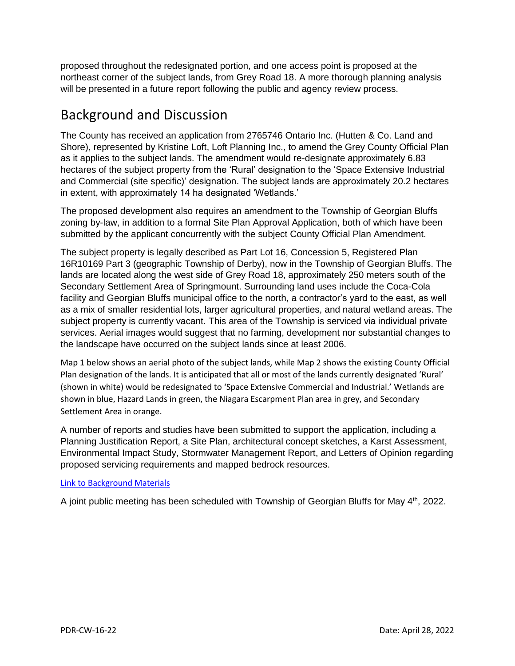proposed throughout the redesignated portion, and one access point is proposed at the northeast corner of the subject lands, from Grey Road 18. A more thorough planning analysis will be presented in a future report following the public and agency review process.

#### Background and Discussion

The County has received an application from 2765746 Ontario Inc. (Hutten & Co. Land and Shore), represented by Kristine Loft, Loft Planning Inc., to amend the Grey County Official Plan as it applies to the subject lands. The amendment would re-designate approximately 6.83 hectares of the subject property from the 'Rural' designation to the 'Space Extensive Industrial and Commercial (site specific)' designation. The subject lands are approximately 20.2 hectares in extent, with approximately 14 ha designated 'Wetlands.'

The proposed development also requires an amendment to the Township of Georgian Bluffs zoning by-law, in addition to a formal Site Plan Approval Application, both of which have been submitted by the applicant concurrently with the subject County Official Plan Amendment.

The subject property is legally described as Part Lot 16, Concession 5, Registered Plan 16R10169 Part 3 (geographic Township of Derby), now in the Township of Georgian Bluffs. The lands are located along the west side of Grey Road 18, approximately 250 meters south of the Secondary Settlement Area of Springmount. Surrounding land uses include the Coca-Cola facility and Georgian Bluffs municipal office to the north, a contractor's yard to the east, as well as a mix of smaller residential lots, larger agricultural properties, and natural wetland areas. The subject property is currently vacant. This area of the Township is serviced via individual private services. Aerial images would suggest that no farming, development nor substantial changes to the landscape have occurred on the subject lands since at least 2006.

Map 1 below shows an aerial photo of the subject lands, while Map 2 shows the existing County Official Plan designation of the lands. It is anticipated that all or most of the lands currently designated 'Rural' (shown in white) would be redesignated to 'Space Extensive Commercial and Industrial.' Wetlands are shown in blue, Hazard Lands in green, the Niagara Escarpment Plan area in grey, and Secondary Settlement Area in orange.

A number of reports and studies have been submitted to support the application, including a Planning Justification Report, a Site Plan, architectural concept sketches, a Karst Assessment, Environmental Impact Study, Stormwater Management Report, and Letters of Opinion regarding proposed servicing requirements and mapped bedrock resources.

#### [Link to Background Materials](https://www.grey.ca/planning-development/planning-applications)

A joint public meeting has been scheduled with Township of Georgian Bluffs for May 4<sup>th</sup>, 2022.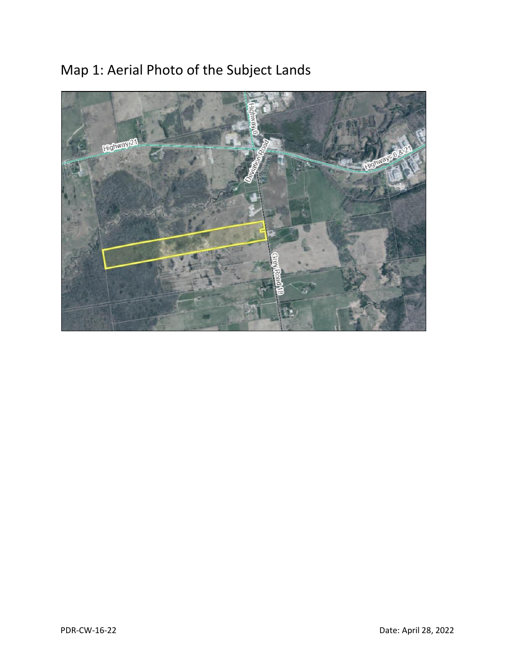

# Map 1: Aerial Photo of the Subject Lands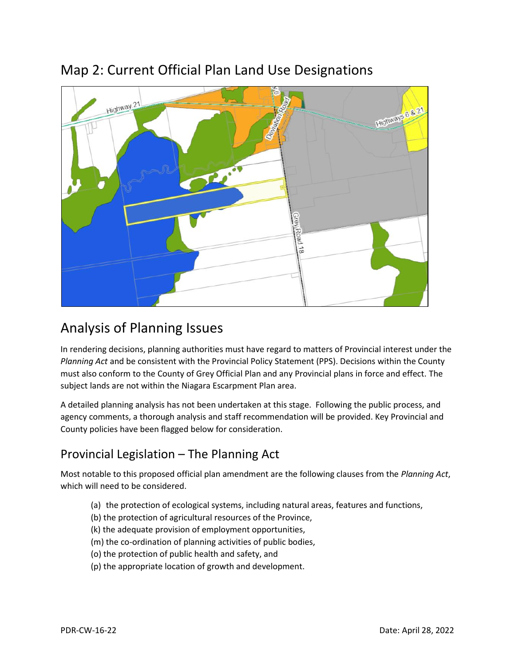

### Map 2: Current Official Plan Land Use Designations

# Analysis of Planning Issues

In rendering decisions, planning authorities must have regard to matters of Provincial interest under the *Planning Act* and be consistent with the Provincial Policy Statement (PPS). Decisions within the County must also conform to the County of Grey Official Plan and any Provincial plans in force and effect. The subject lands are not within the Niagara Escarpment Plan area.

A detailed planning analysis has not been undertaken at this stage. Following the public process, and agency comments, a thorough analysis and staff recommendation will be provided. Key Provincial and County policies have been flagged below for consideration.

#### Provincial Legislation – The Planning Act

Most notable to this proposed official plan amendment are the following clauses from the *Planning Act*, which will need to be considered.

- (a) the protection of ecological systems, including natural areas, features and functions,
- (b) the protection of agricultural resources of the Province,
- (k) the adequate provision of employment opportunities,
- (m) the co-ordination of planning activities of public bodies,
- (o) the protection of public health and safety, and
- (p) the appropriate location of growth and development.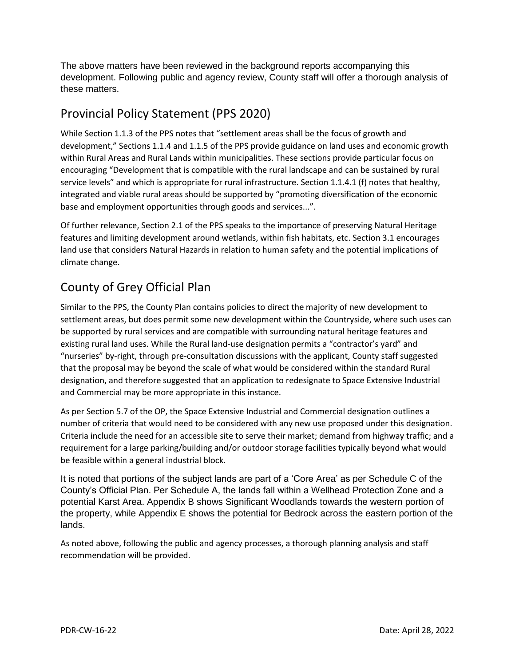The above matters have been reviewed in the background reports accompanying this development. Following public and agency review, County staff will offer a thorough analysis of these matters.

#### Provincial Policy Statement (PPS 2020)

While Section 1.1.3 of the PPS notes that "settlement areas shall be the focus of growth and development," Sections 1.1.4 and 1.1.5 of the PPS provide guidance on land uses and economic growth within Rural Areas and Rural Lands within municipalities. These sections provide particular focus on encouraging "Development that is compatible with the rural landscape and can be sustained by rural service levels" and which is appropriate for rural infrastructure. Section 1.1.4.1 (f) notes that healthy, integrated and viable rural areas should be supported by "promoting diversification of the economic base and employment opportunities through goods and services...".

Of further relevance, Section 2.1 of the PPS speaks to the importance of preserving Natural Heritage features and limiting development around wetlands, within fish habitats, etc. Section 3.1 encourages land use that considers Natural Hazards in relation to human safety and the potential implications of climate change.

## County of Grey Official Plan

Similar to the PPS, the County Plan contains policies to direct the majority of new development to settlement areas, but does permit some new development within the Countryside, where such uses can be supported by rural services and are compatible with surrounding natural heritage features and existing rural land uses. While the Rural land-use designation permits a "contractor's yard" and "nurseries" by-right, through pre-consultation discussions with the applicant, County staff suggested that the proposal may be beyond the scale of what would be considered within the standard Rural designation, and therefore suggested that an application to redesignate to Space Extensive Industrial and Commercial may be more appropriate in this instance.

As per Section 5.7 of the OP, the Space Extensive Industrial and Commercial designation outlines a number of criteria that would need to be considered with any new use proposed under this designation. Criteria include the need for an accessible site to serve their market; demand from highway traffic; and a requirement for a large parking/building and/or outdoor storage facilities typically beyond what would be feasible within a general industrial block.

It is noted that portions of the subject lands are part of a 'Core Area' as per Schedule C of the County's Official Plan. Per Schedule A, the lands fall within a Wellhead Protection Zone and a potential Karst Area. Appendix B shows Significant Woodlands towards the western portion of the property, while Appendix E shows the potential for Bedrock across the eastern portion of the lands.

As noted above, following the public and agency processes, a thorough planning analysis and staff recommendation will be provided.